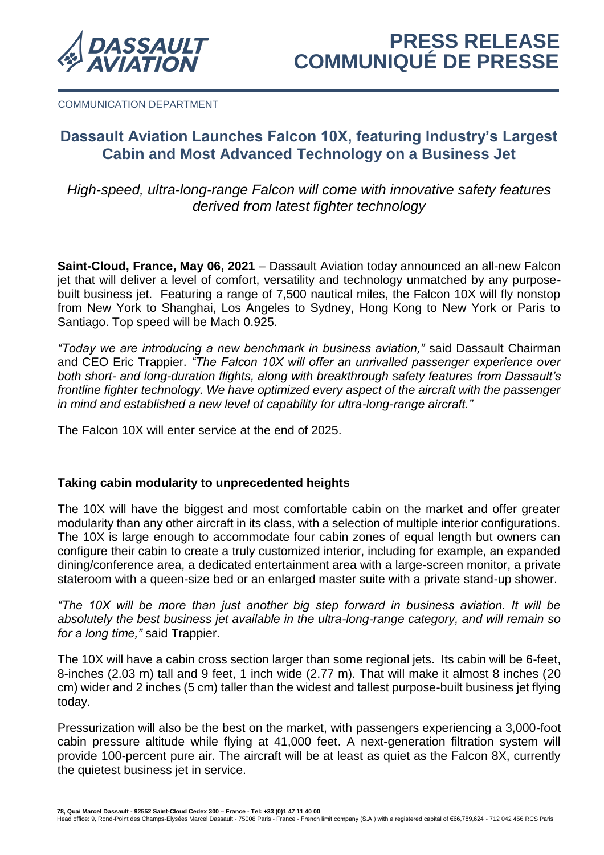

COMMUNICATION DEPARTMENT

# **Dassault Aviation Launches Falcon 10X, featuring Industry's Largest Cabin and Most Advanced Technology on a Business Jet**

*High-speed, ultra-long-range Falcon will come with innovative safety features derived from latest fighter technology*

**Saint-Cloud, France, May 06, 2021** – Dassault Aviation today announced an all-new Falcon jet that will deliver a level of comfort, versatility and technology unmatched by any purposebuilt business jet. Featuring a range of 7,500 nautical miles, the Falcon 10X will fly nonstop from New York to Shanghai, Los Angeles to Sydney, Hong Kong to New York or Paris to Santiago. Top speed will be Mach 0.925.

*"Today we are introducing a new benchmark in business aviation,"* said Dassault Chairman and CEO Eric Trappier. *"The Falcon 10X will offer an unrivalled passenger experience over both short- and long-duration flights, along with breakthrough safety features from Dassault's frontline fighter technology. We have optimized every aspect of the aircraft with the passenger in mind and established a new level of capability for ultra-long-range aircraft."* 

The Falcon 10X will enter service at the end of 2025.

# **Taking cabin modularity to unprecedented heights**

The 10X will have the biggest and most comfortable cabin on the market and offer greater modularity than any other aircraft in its class, with a selection of multiple interior configurations. The 10X is large enough to accommodate four cabin zones of equal length but owners can configure their cabin to create a truly customized interior, including for example, an expanded dining/conference area, a dedicated entertainment area with a large-screen monitor, a private stateroom with a queen-size bed or an enlarged master suite with a private stand-up shower.

*"The 10X will be more than just another big step forward in business aviation. It will be absolutely the best business jet available in the ultra-long-range category, and will remain so for a long time,"* said Trappier.

The 10X will have a cabin cross section larger than some regional jets. Its cabin will be 6-feet, 8-inches (2.03 m) tall and 9 feet, 1 inch wide (2.77 m). That will make it almost 8 inches (20 cm) wider and 2 inches (5 cm) taller than the widest and tallest purpose-built business jet flying today.

Pressurization will also be the best on the market, with passengers experiencing a 3,000-foot cabin pressure altitude while flying at 41,000 feet. A next-generation filtration system will provide 100-percent pure air. The aircraft will be at least as quiet as the Falcon 8X, currently the quietest business jet in service.

7**8, Quai Marcel Dassault - 92552 Saint-Cloud Cedex 300 – France - Tel: +33 (0)1 47 11 40 00**<br>Head office: 9, Rond-Point des Champs-Elysées Marcel Dassault - 75008 Paris - France - French limit company (S.A.) with a regis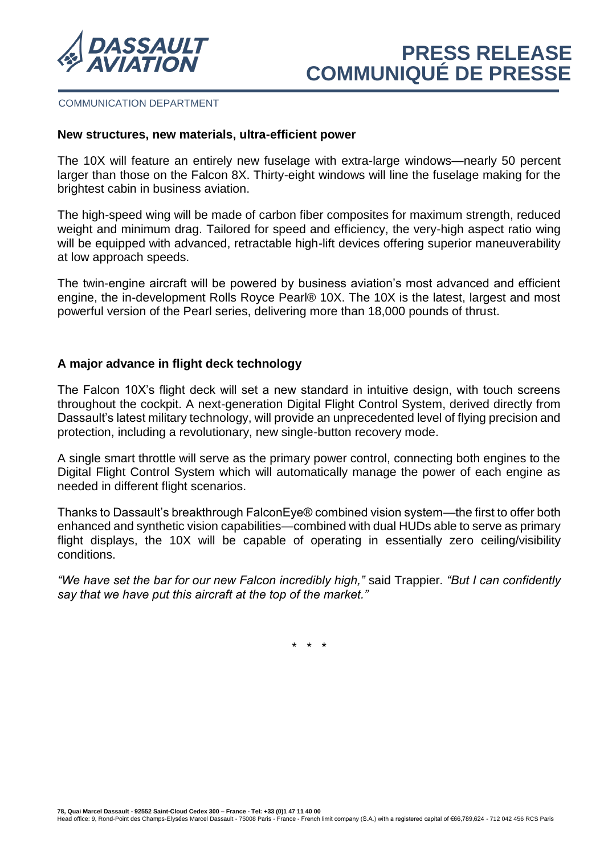

### COMMUNICATION DEPARTMENT

## **New structures, new materials, ultra-efficient power**

The 10X will feature an entirely new fuselage with extra-large windows—nearly 50 percent larger than those on the Falcon 8X. Thirty-eight windows will line the fuselage making for the brightest cabin in business aviation.

The high-speed wing will be made of carbon fiber composites for maximum strength, reduced weight and minimum drag. Tailored for speed and efficiency, the very-high aspect ratio wing will be equipped with advanced, retractable high-lift devices offering superior maneuverability at low approach speeds.

The twin-engine aircraft will be powered by business aviation's most advanced and efficient engine, the in-development Rolls Royce Pearl® 10X. The 10X is the latest, largest and most powerful version of the Pearl series, delivering more than 18,000 pounds of thrust.

# **A major advance in flight deck technology**

The Falcon 10X's flight deck will set a new standard in intuitive design, with touch screens throughout the cockpit. A next-generation Digital Flight Control System, derived directly from Dassault's latest military technology, will provide an unprecedented level of flying precision and protection, including a revolutionary, new single-button recovery mode.

A single smart throttle will serve as the primary power control, connecting both engines to the Digital Flight Control System which will automatically manage the power of each engine as needed in different flight scenarios.

Thanks to Dassault's breakthrough FalconEye® combined vision system—the first to offer both enhanced and synthetic vision capabilities—combined with dual HUDs able to serve as primary flight displays, the 10X will be capable of operating in essentially zero ceiling/visibility conditions.

*"We have set the bar for our new Falcon incredibly high,"* said Trappier*. "But I can confidently say that we have put this aircraft at the top of the market."*

\* \* \*